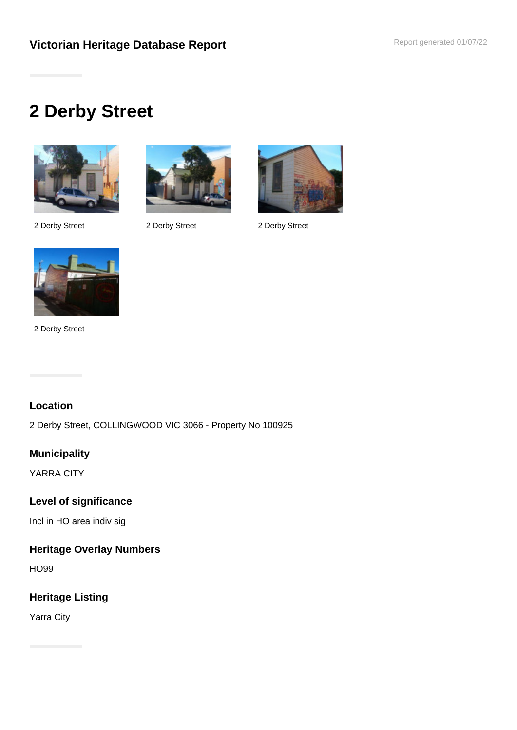# **2 Derby Street**





2 Derby Street 2 Derby Street 2 Derby Street





2 Derby Street

# **Location**

2 Derby Street, COLLINGWOOD VIC 3066 - Property No 100925

## **Municipality**

YARRA CITY

## **Level of significance**

Incl in HO area indiv sig

# **Heritage Overlay Numbers**

HO99

# **Heritage Listing**

Yarra City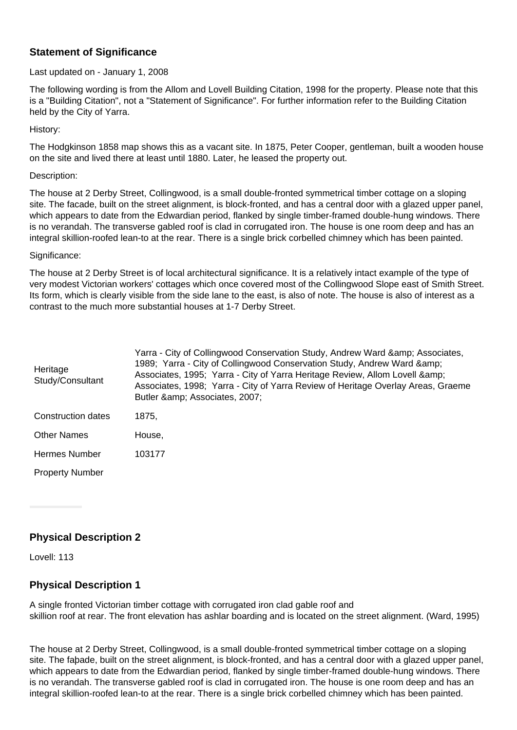## **Statement of Significance**

#### Last updated on - January 1, 2008

The following wording is from the Allom and Lovell Building Citation, 1998 for the property. Please note that this is a "Building Citation", not a "Statement of Significance". For further information refer to the Building Citation held by the City of Yarra.

History:

The Hodgkinson 1858 map shows this as a vacant site. In 1875, Peter Cooper, gentleman, built a wooden house on the site and lived there at least until 1880. Later, he leased the property out.

#### Description:

The house at 2 Derby Street, Collingwood, is a small double-fronted symmetrical timber cottage on a sloping site. The facade, built on the street alignment, is block-fronted, and has a central door with a glazed upper panel, which appears to date from the Edwardian period, flanked by single timber-framed double-hung windows. There is no verandah. The transverse gabled roof is clad in corrugated iron. The house is one room deep and has an integral skillion-roofed lean-to at the rear. There is a single brick corbelled chimney which has been painted.

#### Significance:

The house at 2 Derby Street is of local architectural significance. It is a relatively intact example of the type of very modest Victorian workers' cottages which once covered most of the Collingwood Slope east of Smith Street. Its form, which is clearly visible from the side lane to the east, is also of note. The house is also of interest as a contrast to the much more substantial houses at 1-7 Derby Street.

| Heritage<br>Study/Consultant | Yarra - City of Collingwood Conservation Study, Andrew Ward & Associates,<br>1989; Yarra - City of Collingwood Conservation Study, Andrew Ward & amp;<br>Associates, 1995; Yarra - City of Yarra Heritage Review, Allom Lovell & amp;<br>Associates, 1998; Yarra - City of Yarra Review of Heritage Overlay Areas, Graeme<br>Butler & amp; Associates, 2007; |
|------------------------------|--------------------------------------------------------------------------------------------------------------------------------------------------------------------------------------------------------------------------------------------------------------------------------------------------------------------------------------------------------------|
| Construction dates           | 1875,                                                                                                                                                                                                                                                                                                                                                        |
| <b>Other Names</b>           | House,                                                                                                                                                                                                                                                                                                                                                       |
| <b>Hermes Number</b>         | 103177                                                                                                                                                                                                                                                                                                                                                       |
| <b>Property Number</b>       |                                                                                                                                                                                                                                                                                                                                                              |

## **Physical Description 2**

Lovell: 113

## **Physical Description 1**

A single fronted Victorian timber cottage with corrugated iron clad gable roof and skillion roof at rear. The front elevation has ashlar boarding and is located on the street alignment. (Ward, 1995)

The house at 2 Derby Street, Collingwood, is a small double-fronted symmetrical timber cottage on a sloping site. The faþade, built on the street alignment, is block-fronted, and has a central door with a glazed upper panel, which appears to date from the Edwardian period, flanked by single timber-framed double-hung windows. There is no verandah. The transverse gabled roof is clad in corrugated iron. The house is one room deep and has an integral skillion-roofed lean-to at the rear. There is a single brick corbelled chimney which has been painted.